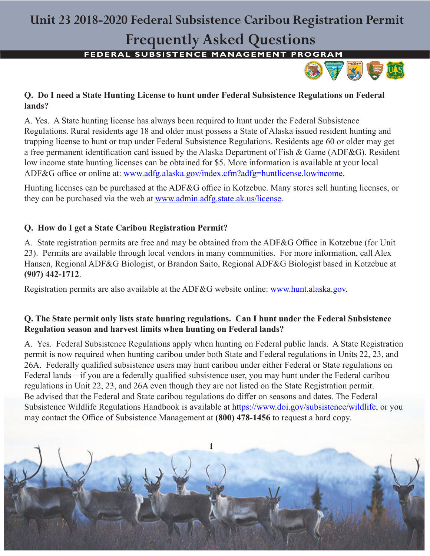# **Unit 23 2018-2020 Federal Subsistence Caribou Registration Permit**

# **Frequently Asked Questions**

**FEDERAL SUBSISTENCE MANAGEMENT PROGRAM** 



## **Q. Do I need a State Hunting License to hunt under Federal Subsistence Regulations on Federal lands?**

A. Yes. A State hunting license has always been required to hunt under the Federal Subsistence Regulations. Rural residents age 18 and older must possess a State of Alaska issued resident hunting and trapping license to hunt or trap under Federal Subsistence Regulations. Residents age 60 or older may get a free permanent identification card issued by the Alaska Department of Fish & Game (ADF&G). Resident low income state hunting licenses can be obtained for \$5. More information is available at your local ADF&G office or online at: www.adfg.alaska.gov/index.cfm?adfg=huntlicense.lowincome.

Hunting licenses can be purchased at the ADF&G office in Kotzebue. Many stores sell hunting licenses, or they can be purchased via the web at www.admin.adfg.state.ak.us/license.

# **Q. How do I get a State Caribou Registration Permit?**

A. State registration permits are free and may be obtained from the ADF&G Office in Kotzebue (for Unit 23). Permits are available through local vendors in many communities. For more information, call Alex Hansen, Regional ADF&G Biologist, or Brandon Saito, Regional ADF&G Biologist based in Kotzebue at **(907) 442-1712**.

Registration permits are also available at the ADF&G website online: www.hunt.alaska.gov.

#### **Q. The State permit only lists state hunting regulations. Can I hunt under the Federal Subsistence Regulation season and harvest limits when hunting on Federal lands?**

A. Yes. Federal Subsistence Regulations apply when hunting on Federal public lands. A State Registration permit is now required when hunting caribou under both State and Federal regulations in Units 22, 23, and 26A. Federally qualified subsistence users may hunt caribou under either Federal or State regulations on Federal lands – if you are a federally qualified subsistence user, you may hunt under the Federal caribou regulations in Unit 22, 23, and 26A even though they are not listed on the State Registration permit. Be advised that the Federal and State caribou regulations do differ on seasons and dates. The Federal Subsistence Wildlife Regulations Handbook is available at https://www.doi.gov/subsistence/wildlife, or you may contact the Office of Subsistence Management at **(800) 478-1456** to request a hard copy.